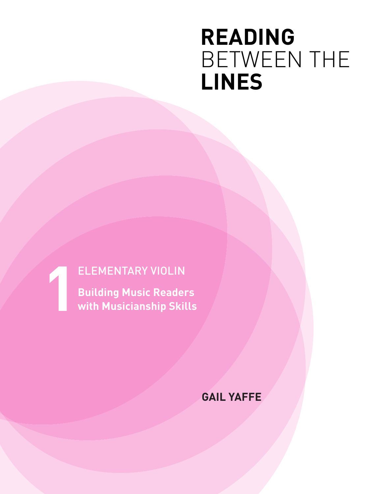## **READING** BETWEEN THE **LINES**

## **1** ELEMENTARY VIOLIN

**Building Music Readers with Musicianship Skills**

**GAIL YAFFE**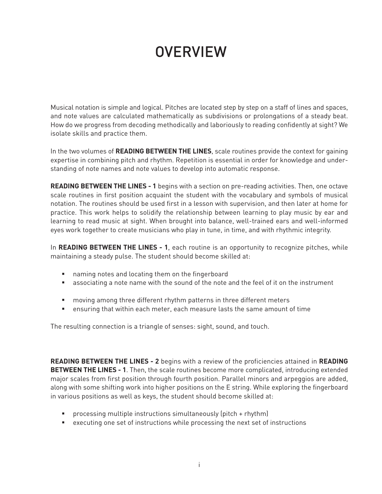## **OVERVIEW**

Musical notation is simple and logical. Pitches are located step by step on a staff of lines and spaces, and note values are calculated mathematically as subdivisions or prolongations of a steady beat. How do we progress from decoding methodically and laboriously to reading confidently at sight? We isolate skills and practice them.

In the two volumes of **READING BETWEEN THE LINES**, scale routines provide the context for gaining expertise in combining pitch and rhythm. Repetition is essential in order for knowledge and understanding of note names and note values to develop into automatic response.

**READING BETWEEN THE LINES - 1** begins with a section on pre-reading activities. Then, one octave scale routines in first position acquaint the student with the vocabulary and symbols of musical notation. The routines should be used first in a lesson with supervision, and then later at home for practice. This work helps to solidify the relationship between learning to play music by ear and learning to read music at sight. When brought into balance, well-trained ears and well-informed eyes work together to create musicians who play in tune, in time, and with rhythmic integrity.

In **READING BETWEEN THE LINES - 1**, each routine is an opportunity to recognize pitches, while maintaining a steady pulse. The student should become skilled at:

- naming notes and locating them on the fingerboard
- associating a note name with the sound of the note and the feel of it on the instrument
- moving among three different rhythm patterns in three different meters
- ensuring that within each meter, each measure lasts the same amount of time

The resulting connection is a triangle of senses: sight, sound, and touch.

**READING BETWEEN THE LINES - 2** begins with a review of the proficiencies attained in **READING BETWEEN THE LINES - 1**. Then, the scale routines become more complicated, introducing extended major scales from first position through fourth position. Parallel minors and arpeggios are added, along with some shifting work into higher positions on the E string. While exploring the fingerboard in various positions as well as keys, the student should become skilled at:

- processing multiple instructions simultaneously (pitch + rhythm)
- executing one set of instructions while processing the next set of instructions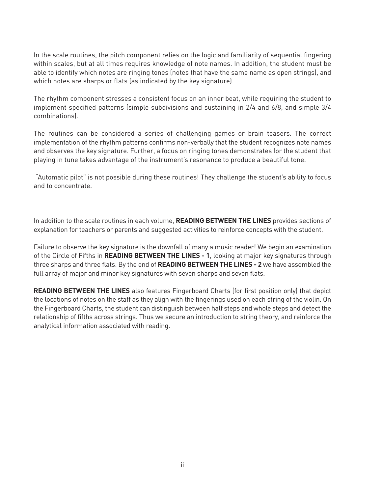In the scale routines, the pitch component relies on the logic and familiarity of sequential fingering within scales, but at all times requires knowledge of note names. In addition, the student must be able to identify which notes are ringing tones (notes that have the same name as open strings), and which notes are sharps or flats (as indicated by the key signature).

The rhythm component stresses a consistent focus on an inner beat, while requiring the student to implement specified patterns (simple subdivisions and sustaining in 2/4 and 6/8, and simple 3/4 combinations).

The routines can be considered a series of challenging games or brain teasers. The correct implementation of the rhythm patterns confirms non-verbally that the student recognizes note names and observes the key signature. Further, a focus on ringing tones demonstrates for the student that playing in tune takes advantage of the instrument's resonance to produce a beautiful tone.

 "Automatic pilot" is not possible during these routines! They challenge the student's ability to focus and to concentrate.

In addition to the scale routines in each volume, **READING BETWEEN THE LINES** provides sections of explanation for teachers or parents and suggested activities to reinforce concepts with the student.

Failure to observe the key signature is the downfall of many a music reader! We begin an examination of the Circle of Fifths in **READING BETWEEN THE LINES - 1**, looking at major key signatures through three sharps and three flats. By the end of **READING BETWEEN THE LINES - 2** we have assembled the full array of major and minor key signatures with seven sharps and seven flats.

**READING BETWEEN THE LINES** also features Fingerboard Charts (for first position only) that depict the locations of notes on the staff as they align with the fingerings used on each string of the violin. On the Fingerboard Charts, the student can distinguish between half steps and whole steps and detect the relationship of fifths across strings. Thus we secure an introduction to string theory, and reinforce the analytical information associated with reading.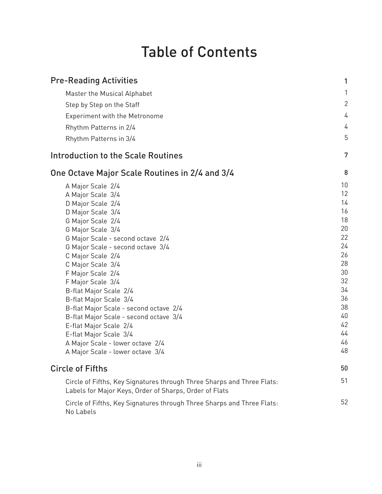## Table of Contents

| <b>Pre-Reading Activities</b>                                                                                                    | 1            |
|----------------------------------------------------------------------------------------------------------------------------------|--------------|
| Master the Musical Alphabet                                                                                                      | 1            |
| Step by Step on the Staff                                                                                                        | $\mathbf{2}$ |
| <b>Experiment with the Metronome</b>                                                                                             | 4            |
|                                                                                                                                  | 4            |
| Rhythm Patterns in 2/4<br>Rhythm Patterns in 3/4                                                                                 | 5            |
| Introduction to the Scale Routines                                                                                               | 7            |
|                                                                                                                                  |              |
| One Octave Major Scale Routines in 2/4 and 3/4                                                                                   | 8            |
| A Major Scale 2/4                                                                                                                | 10           |
| A Major Scale 3/4                                                                                                                | 12           |
| D Major Scale 2/4                                                                                                                | 14           |
| D Major Scale 3/4                                                                                                                | 16           |
| G Major Scale 2/4                                                                                                                | 18           |
| G Major Scale 3/4                                                                                                                | 20           |
| G Major Scale - second octave 2/4                                                                                                | 22           |
| G Major Scale - second octave 3/4                                                                                                | 24           |
| C Major Scale 2/4                                                                                                                | 26           |
| C Major Scale 3/4                                                                                                                | 28           |
| F Major Scale 2/4                                                                                                                | 30           |
| F Major Scale 3/4                                                                                                                | 32           |
| B-flat Major Scale 2/4                                                                                                           | 34           |
| B-flat Major Scale 3/4                                                                                                           | 36           |
| B-flat Major Scale - second octave 2/4                                                                                           | 38           |
| B-flat Major Scale - second octave 3/4                                                                                           | 40           |
| E-flat Major Scale 2/4                                                                                                           | 42           |
| E-flat Major Scale 3/4                                                                                                           | 44           |
| A Major Scale - lower octave 2/4                                                                                                 | 46           |
| A Major Scale - lower octave 3/4                                                                                                 | 48           |
| <b>Circle of Fifths</b>                                                                                                          | 50           |
| Circle of Fifths, Key Signatures through Three Sharps and Three Flats:<br>Labels for Major Keys, Order of Sharps, Order of Flats | 51           |
| Circle of Fifths, Key Signatures through Three Sharps and Three Flats:<br>No Labels                                              | 52           |